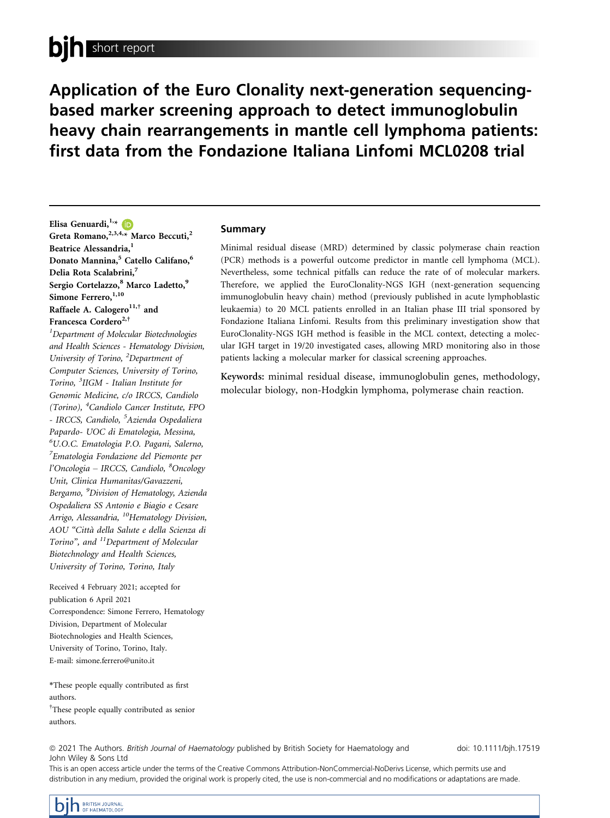# bin short report

Application of the Euro Clonality next-generation sequencingbased marker screening approach to detect immunoglobulin heavy chain rearrangements in mantle cell lymphoma patients: first data from the Fondazione Italiana Linfomi MCL0208 trial

Elisa Genuardi,  $1, *$  $1, *$  (D Greta Romano,  $^{2,3,4,*}$  Marco Beccuti,<sup>2</sup> Beatrice Alessandria,<sup>1</sup> Donato Mannina,<sup>5</sup> Catello Califano,<sup>6</sup> Delia Rota Scalabrini,<sup>7</sup> Sergio Cortelazzo,<sup>8</sup> Marco Ladetto,<sup>9</sup> Simone Ferrero, 1,10 Raffaele A. Calogero $11,$ <sup>†</sup> and Francesca Cordero<sup>2,†</sup>

<sup>1</sup>Department of Molecular Biotechnologies and Health Sciences - Hematology Division, University of Torino, <sup>2</sup>Department of Computer Sciences, University of Torino, Torino, <sup>3</sup> IIGM - Italian Institute for Genomic Medicine, c/o IRCCS, Candiolo (Torino), <sup>4</sup>Candiolo Cancer Institute, FPO - IRCCS, Candiolo, <sup>5</sup>Azienda Ospedaliera Papardo- UOC di Ematologia, Messina, 6 U.O.C. Ematologia P.O. Pagani, Salerno, 7 Ematologia Fondazione del Piemonte per l'Oncologia – IRCCS, Candiolo, <sup>8</sup>Oncology Unit, Clinica Humanitas/Gavazzeni, Bergamo, <sup>9</sup>Division of Hematology, Azienda Ospedaliera SS Antonio e Biagio e Cesare Arrigo, Alessandria, <sup>10</sup>Hematology Division, AOU "Citta della Salute e della Scienza di Torino", and  ${}^{11}$ Department of Molecular Biotechnology and Health Sciences, University of Torino, Torino, Italy

Received 4 February 2021; accepted for publication 6 April 2021 Correspondence: Simone Ferrero, Hematology Division, Department of Molecular Biotechnologies and Health Sciences, University of Torino, Torino, Italy. E-mail: [simone.ferrero@unito.it](mailto:)

\*These people equally contributed as first authors. † These people equally contributed as senior

# Summary

Minimal residual disease (MRD) determined by classic polymerase chain reaction (PCR) methods is a powerful outcome predictor in mantle cell lymphoma (MCL). Nevertheless, some technical pitfalls can reduce the rate of of molecular markers. Therefore, we applied the EuroClonality-NGS IGH (next-generation sequencing immunoglobulin heavy chain) method (previously published in acute lymphoblastic leukaemia) to 20 MCL patients enrolled in an Italian phase III trial sponsored by Fondazione Italiana Linfomi. Results from this preliminary investigation show that EuroClonality-NGS IGH method is feasible in the MCL context, detecting a molecular IGH target in 19/20 investigated cases, allowing MRD monitoring also in those patients lacking a molecular marker for classical screening approaches.

Keywords: minimal residual disease, immunoglobulin genes, methodology, molecular biology, non-Hodgkin lymphoma, polymerase chain reaction.

<sup>ª</sup> 2021 The Authors. British Journal of Haematology published by British Society for Haematology and John Wiley & Sons Ltd

doi: 10.1111/bjh.17519

This is an open access article under the terms of the [Creative Commons Attribution-NonCommercial-NoDerivs](http://creativecommons.org/licenses/by-nc-nd/4.0/) License, which permits use and distribution in any medium, provided the original work is properly cited, the use is non-commercial and no modifications or adaptations are made.

authors.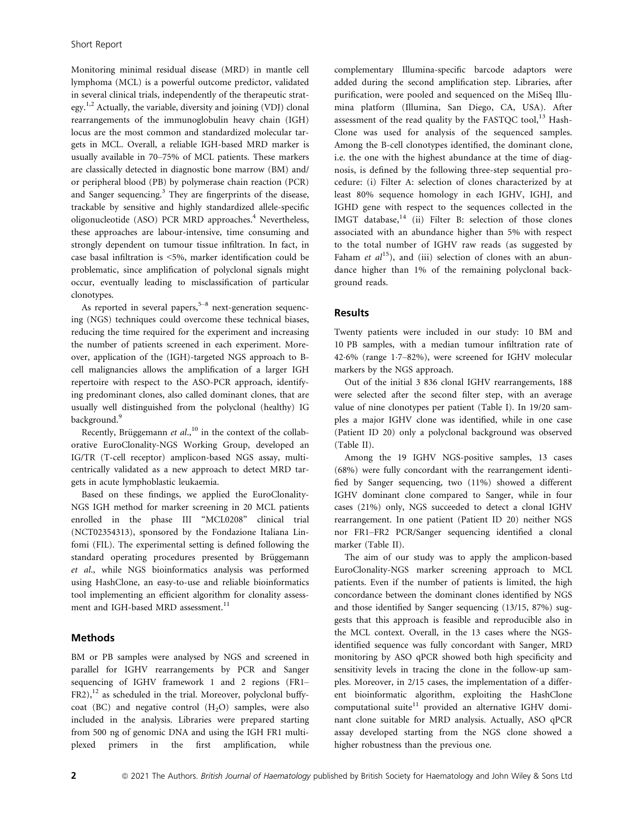Monitoring minimal residual disease (MRD) in mantle cell lymphoma (MCL) is a powerful outcome predictor, validated in several clinical trials, independently of the therapeutic strategy.1,2 Actually, the variable, diversity and joining (VDJ) clonal rearrangements of the immunoglobulin heavy chain (IGH) locus are the most common and standardized molecular targets in MCL. Overall, a reliable IGH-based MRD marker is usually available in 70–75% of MCL patients. These markers are classically detected in diagnostic bone marrow (BM) and/ or peripheral blood (PB) by polymerase chain reaction (PCR) and Sanger sequencing.<sup>3</sup> They are fingerprints of the disease, trackable by sensitive and highly standardized allele-specific oligonucleotide (ASO) PCR MRD approaches.<sup>4</sup> Nevertheless, these approaches are labour-intensive, time consuming and strongly dependent on tumour tissue infiltration. In fact, in case basal infiltration is <5%, marker identification could be problematic, since amplification of polyclonal signals might occur, eventually leading to misclassification of particular clonotypes.

As reported in several papers, $5-8$  next-generation sequencing (NGS) techniques could overcome these technical biases, reducing the time required for the experiment and increasing the number of patients screened in each experiment. Moreover, application of the (IGH)-targeted NGS approach to Bcell malignancies allows the amplification of a larger IGH repertoire with respect to the ASO-PCR approach, identifying predominant clones, also called dominant clones, that are usually well distinguished from the polyclonal (healthy) IG background.<sup>9</sup>

Recently, Brüggemann  $et$   $al$ ,  $^{10}$  in the context of the collaborative EuroClonality-NGS Working Group, developed an IG/TR (T-cell receptor) amplicon-based NGS assay, multicentrically validated as a new approach to detect MRD targets in acute lymphoblastic leukaemia.

Based on these findings, we applied the EuroClonality-NGS IGH method for marker screening in 20 MCL patients enrolled in the phase III "MCL0208" clinical trial (NCT02354313), sponsored by the Fondazione Italiana Linfomi (FIL). The experimental setting is defined following the standard operating procedures presented by Brüggemann et al., while NGS bioinformatics analysis was performed using HashClone, an easy-to-use and reliable bioinformatics tool implementing an efficient algorithm for clonality assessment and IGH-based MRD assessment.<sup>11</sup>

#### Methods

BM or PB samples were analysed by NGS and screened in parallel for IGHV rearrangements by PCR and Sanger sequencing of IGHV framework 1 and 2 regions (FR1– FR2),<sup>12</sup> as scheduled in the trial. Moreover, polyclonal buffycoat (BC) and negative control  $(H<sub>2</sub>O)$  samples, were also included in the analysis. Libraries were prepared starting from 500 ng of genomic DNA and using the IGH FR1 multiplexed primers in the first amplification, while complementary Illumina-specific barcode adaptors were added during the second amplification step. Libraries, after purification, were pooled and sequenced on the MiSeq Illumina platform (Illumina, San Diego, CA, USA). After assessment of the read quality by the FASTQC tool, $^{13}$  Hash-Clone was used for analysis of the sequenced samples. Among the B-cell clonotypes identified, the dominant clone, i.e. the one with the highest abundance at the time of diagnosis, is defined by the following three-step sequential procedure: (i) Filter A: selection of clones characterized by at least 80% sequence homology in each IGHV, IGHJ, and IGHD gene with respect to the sequences collected in the IMGT database, $14$  (ii) Filter B: selection of those clones associated with an abundance higher than 5% with respect to the total number of IGHV raw reads (as suggested by Faham et  $al^{15}$ ), and (iii) selection of clones with an abundance higher than 1% of the remaining polyclonal background reads.

#### Results

Twenty patients were included in our study: 10 BM and 10 PB samples, with a median tumour infiltration rate of 426% (range 17–82%), were screened for IGHV molecular markers by the NGS approach.

Out of the initial 3 836 clonal IGHV rearrangements, 188 were selected after the second filter step, with an average value of nine clonotypes per patient (Table I). In 19/20 samples a major IGHV clone was identified, while in one case (Patient ID 20) only a polyclonal background was observed (Table II).

Among the 19 IGHV NGS-positive samples, 13 cases (68%) were fully concordant with the rearrangement identified by Sanger sequencing, two (11%) showed a different IGHV dominant clone compared to Sanger, while in four cases (21%) only, NGS succeeded to detect a clonal IGHV rearrangement. In one patient (Patient ID 20) neither NGS nor FR1–FR2 PCR/Sanger sequencing identified a clonal marker (Table II).

The aim of our study was to apply the amplicon-based EuroClonality-NGS marker screening approach to MCL patients. Even if the number of patients is limited, the high concordance between the dominant clones identified by NGS and those identified by Sanger sequencing (13/15, 87%) suggests that this approach is feasible and reproducible also in the MCL context. Overall, in the 13 cases where the NGSidentified sequence was fully concordant with Sanger, MRD monitoring by ASO qPCR showed both high specificity and sensitivity levels in tracing the clone in the follow-up samples. Moreover, in 2/15 cases, the implementation of a different bioinformatic algorithm, exploiting the HashClone computational suite<sup>11</sup> provided an alternative IGHV dominant clone suitable for MRD analysis. Actually, ASO qPCR assay developed starting from the NGS clone showed a higher robustness than the previous one.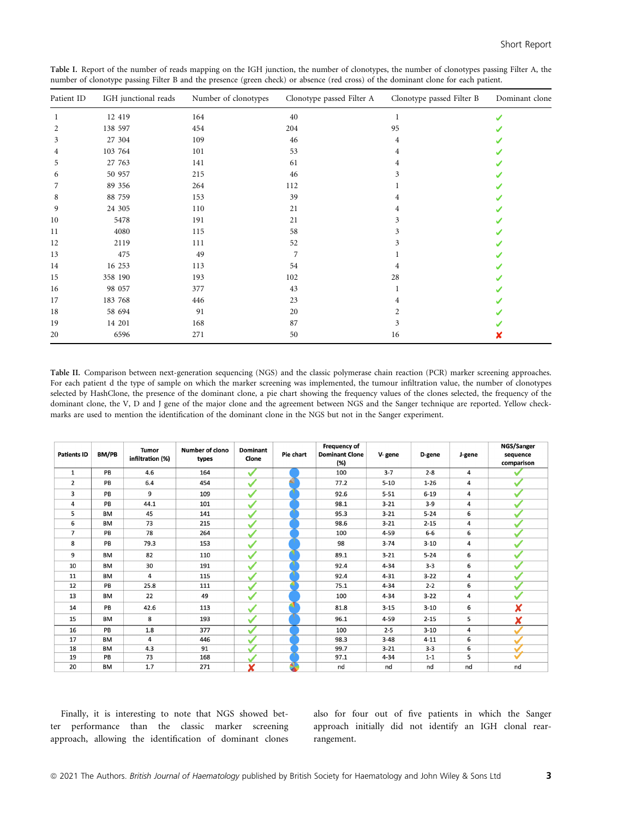| Table I. Report of the number of reads mapping on the IGH junction, the number of clonotypes, the number of clonotypes passing Filter A, the |  |  |
|----------------------------------------------------------------------------------------------------------------------------------------------|--|--|
| number of clonotype passing Filter B and the presence (green check) or absence (red cross) of the dominant clone for each patient.           |  |  |

| Patient ID | IGH junctional reads | Number of clonotypes | Clonotype passed Filter A | Clonotype passed Filter B | Dominant clone |  |
|------------|----------------------|----------------------|---------------------------|---------------------------|----------------|--|
|            | 12 419               | 164                  | 40                        |                           |                |  |
| 2          | 138 597              | 454                  | 204                       | 95                        |                |  |
| 3          | 27 304               | 109                  | 46                        | 4                         |                |  |
| 4          | 103 764              | 101                  | 53                        | 4                         |                |  |
| 5          | 27 763               | 141                  | 61                        | 4                         |                |  |
| 6          | 50 957               | 215                  | 46                        | 3                         |                |  |
| 7          | 89 35 6              | 264                  | 112                       |                           |                |  |
| 8          | 88 759               | 153                  | 39                        | 4                         |                |  |
| 9          | 24 30 5              | 110                  | 21                        | 4                         |                |  |
| 10         | 5478                 | 191                  | 21                        | 3                         |                |  |
| 11         | 4080                 | 115                  | 58                        | 3                         |                |  |
| 12         | 2119                 | 111                  | 52                        | 3                         |                |  |
| 13         | 475                  | 49                   | 7                         |                           |                |  |
| 14         | 16 253               | 113                  | 54                        | 4                         |                |  |
| 15         | 358 190              | 193                  | 102                       | 28                        |                |  |
| 16         | 98 057               | 377                  | 43                        |                           |                |  |
| 17         | 183 768              | 446                  | 23                        | 4                         |                |  |
| 18         | 58 694               | 91                   | 20                        | 2                         |                |  |
| 19         | 14 201               | 168                  | 87                        | 3                         |                |  |
| 20         | 6596                 | 271                  | 50                        | 16                        |                |  |

Table II. Comparison between next-generation sequencing (NGS) and the classic polymerase chain reaction (PCR) marker screening approaches. For each patient d the type of sample on which the marker screening was implemented, the tumour infiltration value, the number of clonotypes selected by HashClone, the presence of the dominant clone, a pie chart showing the frequency values of the clones selected, the frequency of the dominant clone, the V, D and J gene of the major clone and the agreement between NGS and the Sanger technique are reported. Yellow checkmarks are used to mention the identification of the dominant clone in the NGS but not in the Sanger experiment.

| <b>Patients ID</b> | BM/PB     | <b>Tumor</b><br>infiltration (%) | Number of clono<br>types | <b>Dominant</b><br>Clone | Pie chart | <b>Frequency of</b><br><b>Dominant Clone</b><br>(%) | V-gene   | D-gene   | J-gene | NGS/Sanger<br>sequence<br>comparison |
|--------------------|-----------|----------------------------------|--------------------------|--------------------------|-----------|-----------------------------------------------------|----------|----------|--------|--------------------------------------|
| $\mathbf{1}$       | PB        | 4.6                              | 164                      | $\checkmark$             |           | 100                                                 | $3 - 7$  | $2 - 8$  | 4      |                                      |
| 2                  | PB        | 6.4                              | 454                      |                          |           | 77.2                                                | $5 - 10$ | $1 - 26$ | 4      |                                      |
| 3                  | PB        | 9                                | 109                      |                          |           | 92.6                                                | $5 - 51$ | $6 - 19$ | 4      |                                      |
| 4                  | PB        | 44.1                             | 101                      |                          |           | 98.1                                                | $3 - 21$ | $3 - 9$  | 4      |                                      |
| 5                  | <b>BM</b> | 45                               | 141                      |                          |           | 95.3                                                | $3 - 21$ | $5 - 24$ | 6      |                                      |
| 6                  | <b>BM</b> | 73                               | 215                      |                          |           | 98.6                                                | $3 - 21$ | $2 - 15$ | 4      |                                      |
| $\overline{7}$     | PB        | 78                               | 264                      |                          |           | 100                                                 | $4 - 59$ | $6-6$    | 6      |                                      |
| 8                  | PB        | 79.3                             | 153                      | $\checkmark$             |           | 98                                                  | $3 - 74$ | $3 - 10$ | 4      |                                      |
| 9                  | <b>BM</b> | 82                               | 110                      | $\checkmark$             |           | 89.1                                                | $3 - 21$ | $5 - 24$ | 6      |                                      |
| 10                 | <b>BM</b> | 30                               | 191                      | ✓                        |           | 92.4                                                | $4 - 34$ | $3 - 3$  | 6      |                                      |
| 11                 | <b>BM</b> | 4                                | 115                      |                          |           | 92.4                                                | $4 - 31$ | $3 - 22$ | 4      |                                      |
| 12                 | PB        | 25.8                             | 111                      |                          |           | 75.1                                                | $4 - 34$ | $2 - 2$  | 6      |                                      |
| 13                 | <b>BM</b> | 22                               | 49                       | $\mathcal{I}$            |           | 100                                                 | $4 - 34$ | $3 - 22$ | 4      |                                      |
| 14                 | PB        | 42.6                             | 113                      | $\checkmark$             |           | 81.8                                                | $3 - 15$ | $3 - 10$ | 6      | X                                    |
| 15                 | <b>BM</b> | 8                                | 193                      | $\checkmark$             |           | 96.1                                                | $4 - 59$ | $2 - 15$ | 5      | X                                    |
| 16                 | PB        | 1.8                              | 377                      |                          |           | 100                                                 | $2 - 5$  | $3 - 10$ | 4      |                                      |
| 17                 | <b>BM</b> | 4                                | 446                      |                          |           | 98.3                                                | $3 - 48$ | $4 - 11$ | 6      |                                      |
| 18                 | <b>BM</b> | 4.3                              | 91                       |                          |           | 99.7                                                | $3 - 21$ | $3 - 3$  | 6      |                                      |
| 19                 | PB        | 73                               | 168                      |                          |           | 97.1                                                | $4 - 34$ | $1 - 1$  | 5      |                                      |
| 20                 | <b>BM</b> | 1.7                              | 271                      | X                        | ₹         | nd                                                  | nd       | nd       | nd     | nd                                   |

Finally, it is interesting to note that NGS showed better performance than the classic marker screening approach, allowing the identification of dominant clones also for four out of five patients in which the Sanger approach initially did not identify an IGH clonal rearrangement.